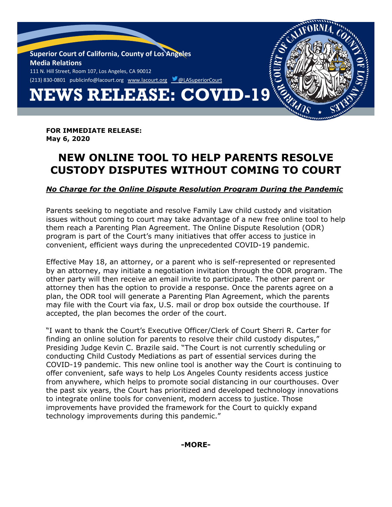

**FOR IMMEDIATE RELEASE: May 6, 2020**

## **NEW ONLINE TOOL TO HELP PARENTS RESOLVE CUSTODY DISPUTES WITHOUT COMING TO COURT**

*No Charge for the Online Dispute Resolution Program During the Pandemic*

Parents seeking to negotiate and resolve Family Law child custody and visitation issues without coming to court may take advantage of a new free online tool to help them reach a Parenting Plan Agreement. The Online Dispute Resolution (ODR) program is part of the Court's many initiatives that offer access to justice in convenient, efficient ways during the unprecedented COVID-19 pandemic.

Effective May 18, an attorney, or a parent who is self-represented or represented by an attorney, may initiate a negotiation invitation through the ODR program. The other party will then receive an email invite to participate. The other parent or attorney then has the option to provide a response. Once the parents agree on a plan, the ODR tool will generate a Parenting Plan Agreement, which the parents may file with the Court via fax, U.S. mail or drop box outside the courthouse. If accepted, the plan becomes the order of the court.

"I want to thank the Court's Executive Officer/Clerk of Court Sherri R. Carter for finding an online solution for parents to resolve their child custody disputes," Presiding Judge Kevin C. Brazile said. "The Court is not currently scheduling or conducting Child Custody Mediations as part of essential services during the COVID-19 pandemic. This new online tool is another way the Court is continuing to offer convenient, safe ways to help Los Angeles County residents access justice from anywhere, which helps to promote social distancing in our courthouses. Over the past six years, the Court has prioritized and developed technology innovations to integrate online tools for convenient, modern access to justice. Those improvements have provided the framework for the Court to quickly expand technology improvements during this pandemic."

**-MORE-**